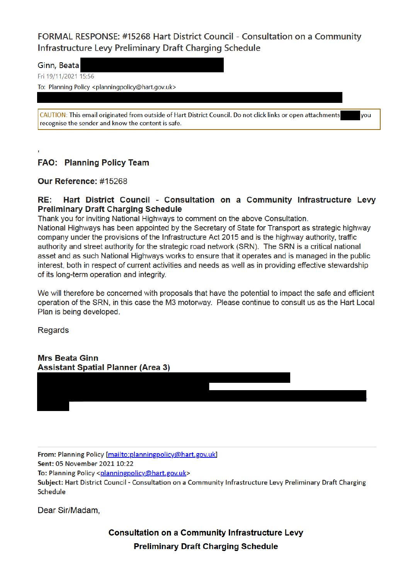FORMAL RESPONSE: #15268 Hart District Council - Consultation on a Community Infrastructure Levy Preliminary Draft Charging Schedule

Ginn, Beata

Fri 19/11/2021 15:56

To: Planning Policy <planningpolicy@hart.gov.uk>

CAUTION: This email originated from outside of Hart District Council. Do not click links or open attachments recognise the sender and know the content is safe.

vou

**FAO: Planning Policy Team** 

Our Reference: #15268

## RE: Hart District Council - Consultation on a Community Infrastructure Levy **Preliminary Draft Charging Schedule**

Thank you for inviting National Highways to comment on the above Consultation. National Highways has been appointed by the Secretary of State for Transport as strategic highway company under the provisions of the Infrastructure Act 2015 and is the highway authority, traffic authority and street authority for the strategic road network (SRN). The SRN is a critical national asset and as such National Highways works to ensure that it operates and is managed in the public interest, both in respect of current activities and needs as well as in providing effective stewardship of its long-term operation and integrity.

We will therefore be concerned with proposals that have the potential to impact the safe and efficient operation of the SRN, in this case the M3 motorway. Please continue to consult us as the Hart Local Plan is being developed.

**Regards** 

**Mrs Beata Ginn Assistant Spatial Planner (Area 3)** 

From: Planning Policy [mailto:planningpolicy@hart.gov.uk]

Sent: 05 November 2021 10:22

To: Planning Policy <planningpolicy@hart.gov.uk>

Subject: Hart District Council - Consultation on a Community Infrastructure Levy Preliminary Draft Charging Schedule

Dear Sir/Madam.

**Consultation on a Community Infrastructure Levy Preliminary Draft Charging Schedule**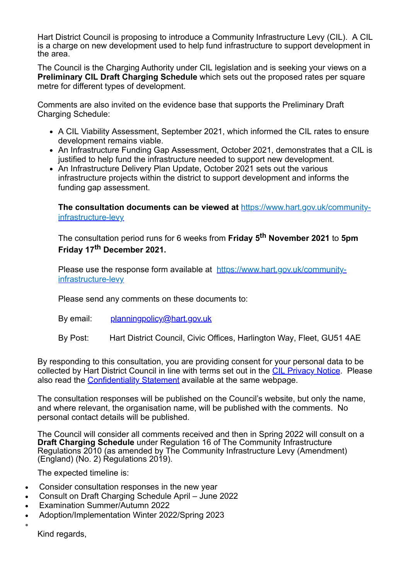Hart District Council is proposing to introduce a Community Infrastructure Levy (CIL). A CIL is a charge on new development used to help fund infrastructure to support development in the area.

The Council is the Charging Authority under CIL legislation and is seeking your views on a **Preliminary CIL Draft Charging Schedule** which sets out the proposed rates per square metre for different types of development.

Comments are also invited on the evidence base that supports the Preliminary Draft Charging Schedule:

- A CIL Viability Assessment, September 2021, which informed the CIL rates to ensure development remains viable.
- An Infrastructure Funding Gap Assessment, October 2021, demonstrates that a CIL is justified to help fund the infrastructure needed to support new development.
- An Infrastructure Delivery Plan Update, October 2021 sets out the various infrastructure projects within the district to support development and informs the funding gap assessment.

**The consultation documents can be viewed at** https://www.hart.gov.uk/communityinfrastructure-levy

The consultation period runs for 6 weeks from **Friday 5th November 2021** to **5pm Friday 17th December 2021.**

Please use the response form available at https://www.hart.gov.uk/communityinfrastructure-levy

Please send any comments on these documents to:

- By email: planningpolicy@hart.gov.uk
- By Post: Hart District Council, Civic Offices, Harlington Way, Fleet, GU51 4AE

By responding to this consultation, you are providing consent for your personal data to be collected by Hart District Council in line with terms set out in the CIL Privacy Notice. Please also read the Confidentiality Statement available at the same webpage.

The consultation responses will be published on the Council's website, but only the name, and where relevant, the organisation name, will be published with the comments. No personal contact details will be published.

The Council will consider all comments received and then in Spring 2022 will consult on a **Draft Charging Schedule** under Regulation 16 of The Community Infrastructure Regulations 2010 (as amended by The Community Infrastructure Levy (Amendment) (England) (No. 2) Regulations 2019).

The expected timeline is:

- Consider consultation responses in the new year
- · Consult on Draft Charging Schedule April June 2022
- Examination Summer/Autumn 2022
- · Adoption/Implementation Winter 2022/Spring 2023
- ·

Kind regards,